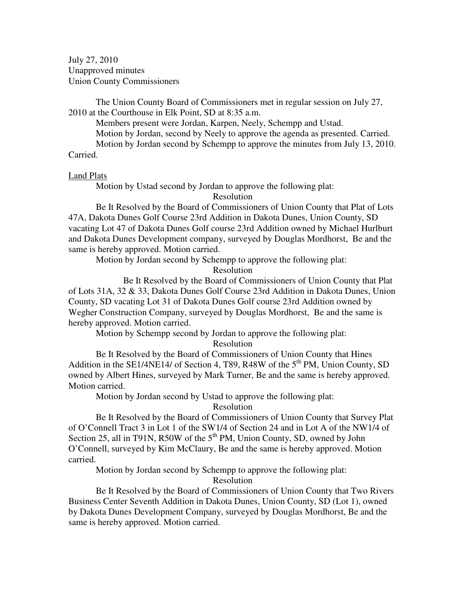July 27, 2010 Unapproved minutes Union County Commissioners

The Union County Board of Commissioners met in regular session on July 27, 2010 at the Courthouse in Elk Point, SD at 8:35 a.m.

Members present were Jordan, Karpen, Neely, Schempp and Ustad.

Motion by Jordan, second by Neely to approve the agenda as presented. Carried.

 Motion by Jordan second by Schempp to approve the minutes from July 13, 2010. Carried.

## Land Plats

Motion by Ustad second by Jordan to approve the following plat:

Resolution

 Be It Resolved by the Board of Commissioners of Union County that Plat of Lots 47A, Dakota Dunes Golf Course 23rd Addition in Dakota Dunes, Union County, SD vacating Lot 47 of Dakota Dunes Golf course 23rd Addition owned by Michael Hurlburt and Dakota Dunes Development company, surveyed by Douglas Mordhorst, Be and the same is hereby approved. Motion carried.

Motion by Jordan second by Schempp to approve the following plat:

Resolution

 Be It Resolved by the Board of Commissioners of Union County that Plat of Lots 31A, 32 & 33, Dakota Dunes Golf Course 23rd Addition in Dakota Dunes, Union County, SD vacating Lot 31 of Dakota Dunes Golf course 23rd Addition owned by Wegher Construction Company, surveyed by Douglas Mordhorst, Be and the same is hereby approved. Motion carried.

Motion by Schempp second by Jordan to approve the following plat:

Resolution

Be It Resolved by the Board of Commissioners of Union County that Hines Addition in the SE1/4NE14/ of Section 4, T89, R48W of the  $5<sup>th</sup>$  PM, Union County, SD owned by Albert Hines, surveyed by Mark Turner, Be and the same is hereby approved. Motion carried.

Motion by Jordan second by Ustad to approve the following plat:

Resolution

Be It Resolved by the Board of Commissioners of Union County that Survey Plat of O'Connell Tract 3 in Lot 1 of the SW1/4 of Section 24 and in Lot A of the NW1/4 of Section 25, all in T91N, R50W of the  $5<sup>th</sup> PM$ , Union County, SD, owned by John O'Connell, surveyed by Kim McClaury, Be and the same is hereby approved. Motion carried.

Motion by Jordan second by Schempp to approve the following plat:

Resolution

Be It Resolved by the Board of Commissioners of Union County that Two Rivers Business Center Seventh Addition in Dakota Dunes, Union County, SD (Lot 1), owned by Dakota Dunes Development Company, surveyed by Douglas Mordhorst, Be and the same is hereby approved. Motion carried.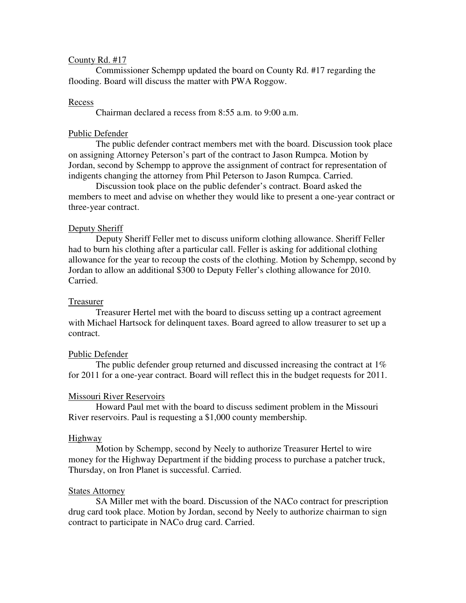# County Rd. #17

 Commissioner Schempp updated the board on County Rd. #17 regarding the flooding. Board will discuss the matter with PWA Roggow.

### Recess

Chairman declared a recess from 8:55 a.m. to 9:00 a.m.

# Public Defender

 The public defender contract members met with the board. Discussion took place on assigning Attorney Peterson's part of the contract to Jason Rumpca. Motion by Jordan, second by Schempp to approve the assignment of contract for representation of indigents changing the attorney from Phil Peterson to Jason Rumpca. Carried.

Discussion took place on the public defender's contract. Board asked the members to meet and advise on whether they would like to present a one-year contract or three-year contract.

## Deputy Sheriff

 Deputy Sheriff Feller met to discuss uniform clothing allowance. Sheriff Feller had to burn his clothing after a particular call. Feller is asking for additional clothing allowance for the year to recoup the costs of the clothing. Motion by Schempp, second by Jordan to allow an additional \$300 to Deputy Feller's clothing allowance for 2010. Carried.

#### Treasurer

 Treasurer Hertel met with the board to discuss setting up a contract agreement with Michael Hartsock for delinquent taxes. Board agreed to allow treasurer to set up a contract.

#### Public Defender

 The public defender group returned and discussed increasing the contract at 1% for 2011 for a one-year contract. Board will reflect this in the budget requests for 2011.

#### Missouri River Reservoirs

 Howard Paul met with the board to discuss sediment problem in the Missouri River reservoirs. Paul is requesting a \$1,000 county membership.

#### Highway

 Motion by Schempp, second by Neely to authorize Treasurer Hertel to wire money for the Highway Department if the bidding process to purchase a patcher truck, Thursday, on Iron Planet is successful. Carried.

### States Attorney

 SA Miller met with the board. Discussion of the NACo contract for prescription drug card took place. Motion by Jordan, second by Neely to authorize chairman to sign contract to participate in NACo drug card. Carried.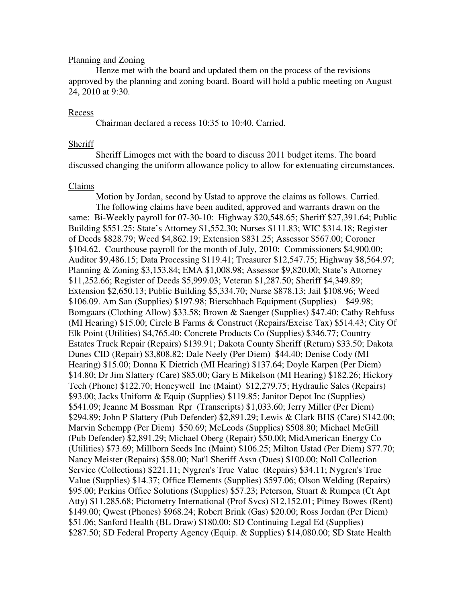# Planning and Zoning

 Henze met with the board and updated them on the process of the revisions approved by the planning and zoning board. Board will hold a public meeting on August 24, 2010 at 9:30.

## Recess

Chairman declared a recess 10:35 to 10:40. Carried.

### Sheriff

 Sheriff Limoges met with the board to discuss 2011 budget items. The board discussed changing the uniform allowance policy to allow for extenuating circumstances.

# Claims

 Motion by Jordan, second by Ustad to approve the claims as follows. Carried. The following claims have been audited, approved and warrants drawn on the same: Bi-Weekly payroll for 07-30-10: Highway \$20,548.65; Sheriff \$27,391.64; Public Building \$551.25; State's Attorney \$1,552.30; Nurses \$111.83; WIC \$314.18; Register of Deeds \$828.79; Weed \$4,862.19; Extension \$831.25; Assessor \$567.00; Coroner \$104.62. Courthouse payroll for the month of July, 2010: Commissioners \$4,900.00; Auditor \$9,486.15; Data Processing \$119.41; Treasurer \$12,547.75; Highway \$8,564.97; Planning & Zoning \$3,153.84; EMA \$1,008.98; Assessor \$9,820.00; State's Attorney \$11,252.66; Register of Deeds \$5,999.03; Veteran \$1,287.50; Sheriff \$4,349.89; Extension \$2,650.13; Public Building \$5,334.70; Nurse \$878.13; Jail \$108.96; Weed \$106.09. Am San (Supplies) \$197.98; Bierschbach Equipment (Supplies) \$49.98; Bomgaars (Clothing Allow) \$33.58; Brown & Saenger (Supplies) \$47.40; Cathy Rehfuss (MI Hearing) \$15.00; Circle B Farms & Construct (Repairs/Excise Tax) \$514.43; City Of Elk Point (Utilities) \$4,765.40; Concrete Products Co (Supplies) \$346.77; Country Estates Truck Repair (Repairs) \$139.91; Dakota County Sheriff (Return) \$33.50; Dakota Dunes CID (Repair) \$3,808.82; Dale Neely (Per Diem) \$44.40; Denise Cody (MI Hearing) \$15.00; Donna K Dietrich (MI Hearing) \$137.64; Doyle Karpen (Per Diem) \$14.80; Dr Jim Slattery (Care) \$85.00; Gary E Mikelson (MI Hearing) \$182.26; Hickory Tech (Phone) \$122.70; Honeywell Inc (Maint) \$12,279.75; Hydraulic Sales (Repairs) \$93.00; Jacks Uniform & Equip (Supplies) \$119.85; Janitor Depot Inc (Supplies) \$541.09; Jeanne M Bossman Rpr (Transcripts) \$1,033.60; Jerry Miller (Per Diem) \$294.89; John P Slattery (Pub Defender) \$2,891.29; Lewis & Clark BHS (Care) \$142.00; Marvin Schempp (Per Diem) \$50.69; McLeods (Supplies) \$508.80; Michael McGill (Pub Defender) \$2,891.29; Michael Oberg (Repair) \$50.00; MidAmerican Energy Co (Utilities) \$73.69; Millborn Seeds Inc (Maint) \$106.25; Milton Ustad (Per Diem) \$77.70; Nancy Meister (Repairs) \$58.00; Nat'l Sheriff Assn (Dues) \$100.00; Noll Collection Service (Collections) \$221.11; Nygren's True Value (Repairs) \$34.11; Nygren's True Value (Supplies) \$14.37; Office Elements (Supplies) \$597.06; Olson Welding (Repairs) \$95.00; Perkins Office Solutions (Supplies) \$57.23; Peterson, Stuart & Rumpca (Ct Apt Atty) \$11,285.68; Pictometry International (Prof Svcs) \$12,152.01; Pitney Bowes (Rent) \$149.00; Qwest (Phones) \$968.24; Robert Brink (Gas) \$20.00; Ross Jordan (Per Diem) \$51.06; Sanford Health (BL Draw) \$180.00; SD Continuing Legal Ed (Supplies) \$287.50; SD Federal Property Agency (Equip. & Supplies) \$14,080.00; SD State Health